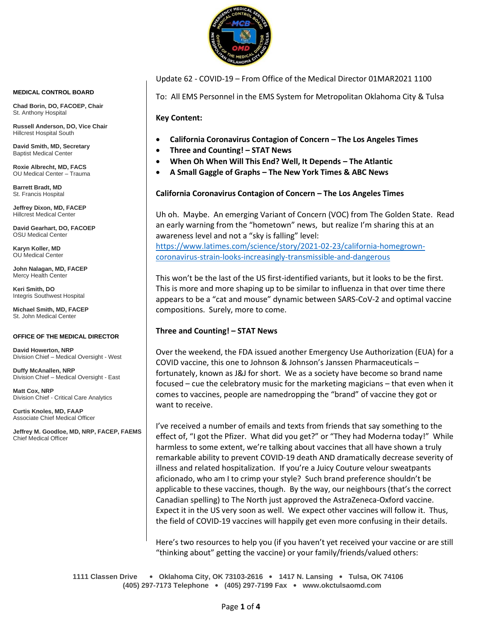

Update 62 - COVID-19 – From Office of the Medical Director 01MAR2021 1100

To: All EMS Personnel in the EMS System for Metropolitan Oklahoma City & Tulsa

**Key Content:**

- **California Coronavirus Contagion of Concern – The Los Angeles Times**
- **Three and Counting! – STAT News**
- **When Oh When Will This End? Well, It Depends – The Atlantic**
- **A Small Gaggle of Graphs – The New York Times & ABC News**

## **California Coronavirus Contagion of Concern – The Los Angeles Times**

Uh oh. Maybe. An emerging Variant of Concern (VOC) from The Golden State. Read an early warning from the "hometown" news, but realize I'm sharing this at an awareness level and not a "sky is falling" level:

[https://www.latimes.com/science/story/2021-02-23/california-homegrown](https://www.latimes.com/science/story/2021-02-23/california-homegrown-coronavirus-strain-looks-increasingly-transmissible-and-dangerous)[coronavirus-strain-looks-increasingly-transmissible-and-dangerous](https://www.latimes.com/science/story/2021-02-23/california-homegrown-coronavirus-strain-looks-increasingly-transmissible-and-dangerous)

This won't be the last of the US first-identified variants, but it looks to be the first. This is more and more shaping up to be similar to influenza in that over time there appears to be a "cat and mouse" dynamic between SARS-CoV-2 and optimal vaccine compositions. Surely, more to come.

## **Three and Counting! – STAT News**

Over the weekend, the FDA issued another Emergency Use Authorization (EUA) for a COVID vaccine, this one to Johnson & Johnson's Janssen Pharmaceuticals – fortunately, known as J&J for short. We as a society have become so brand name focused – cue the celebratory music for the marketing magicians – that even when it comes to vaccines, people are namedropping the "brand" of vaccine they got or want to receive.

I've received a number of emails and texts from friends that say something to the effect of, "I got the Pfizer. What did you get?" or "They had Moderna today!" While harmless to some extent, we're talking about vaccines that all have shown a truly remarkable ability to prevent COVID-19 death AND dramatically decrease severity of illness and related hospitalization. If you're a Juicy Couture velour sweatpants aficionado, who am I to crimp your style? Such brand preference shouldn't be applicable to these vaccines, though. By the way, our neighbours (that's the correct Canadian spelling) to The North just approved the AstraZeneca-Oxford vaccine. Expect it in the US very soon as well. We expect other vaccines will follow it. Thus, the field of COVID-19 vaccines will happily get even more confusing in their details.

Here's two resources to help you (if you haven't yet received your vaccine or are still "thinking about" getting the vaccine) or your family/friends/valued others:

**1111 Classen Drive** • **Oklahoma City, OK 73103-2616** • **1417 N. Lansing** • **Tulsa, OK 74106 (405) 297-7173 Telephone** • **(405) 297-7199 Fax** • **www.okctulsaomd.com**

#### **MEDICAL CONTROL BOARD**

**Chad Borin, DO, FACOEP, Chair**  St. Anthony Hospital

**Russell Anderson, DO, Vice Chair** Hillcrest Hospital South

**David Smith, MD, Secretary** Baptist Medical Center

**Roxie Albrecht, MD, FACS** OU Medical Center – Trauma

**Barrett Bradt, MD** St. Francis Hospital

**Jeffrey Dixon, MD, FACEP** Hillcrest Medical Center

**David Gearhart, DO, FACOEP** OSU Medical Center

**Karyn Koller, MD** OU Medical Center

**John Nalagan, MD, FACEP** Mercy Health Center

**Keri Smith, DO** Integris Southwest Hospital

**Michael Smith, MD, FACEP** St. John Medical Center

### **OFFICE OF THE MEDICAL DIRECTOR**

**David Howerton, NRP** Division Chief – Medical Oversight - West

**Duffy McAnallen, NRP** Division Chief – Medical Oversight - East

**Matt Cox, NRP** Division Chief - Critical Care Analytics

**Curtis Knoles, MD, FAAP** Associate Chief Medical Officer

**Jeffrey M. Goodloe, MD, NRP, FACEP, FAEMS** Chief Medical Officer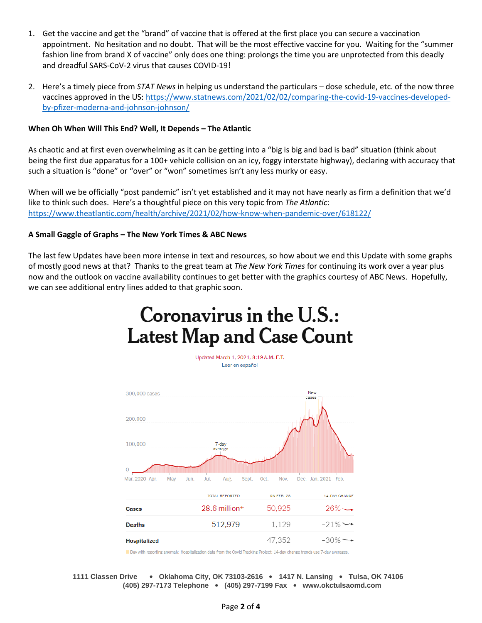- 1. Get the vaccine and get the "brand" of vaccine that is offered at the first place you can secure a vaccination appointment. No hesitation and no doubt. That will be the most effective vaccine for you. Waiting for the "summer fashion line from brand X of vaccine" only does one thing: prolongs the time you are unprotected from this deadly and dreadful SARS-CoV-2 virus that causes COVID-19!
- 2. Here's a timely piece from *STAT News* in helping us understand the particulars dose schedule, etc. of the now three vaccines approved in the US: [https://www.statnews.com/2021/02/02/comparing-the-covid-19-vaccines-developed](https://www.statnews.com/2021/02/02/comparing-the-covid-19-vaccines-developed-by-pfizer-moderna-and-johnson-johnson/)[by-pfizer-moderna-and-johnson-johnson/](https://www.statnews.com/2021/02/02/comparing-the-covid-19-vaccines-developed-by-pfizer-moderna-and-johnson-johnson/)

## **When Oh When Will This End? Well, It Depends – The Atlantic**

As chaotic and at first even overwhelming as it can be getting into a "big is big and bad is bad" situation (think about being the first due apparatus for a 100+ vehicle collision on an icy, foggy interstate highway), declaring with accuracy that such a situation is "done" or "over" or "won" sometimes isn't any less murky or easy.

When will we be officially "post pandemic" isn't yet established and it may not have nearly as firm a definition that we'd like to think such does. Here's a thoughtful piece on this very topic from *The Atlantic*: <https://www.theatlantic.com/health/archive/2021/02/how-know-when-pandemic-over/618122/>

## **A Small Gaggle of Graphs – The New York Times & ABC News**

The last few Updates have been more intense in text and resources, so how about we end this Update with some graphs of mostly good news at that? Thanks to the great team at *The New York Times* for continuing its work over a year plus now and the outlook on vaccine availability continues to get better with the graphics courtesy of ABC News. Hopefully, we can see additional entry lines added to that graphic soon.



Updated March 1, 2021, 8:19 A.M. E.T. Leer en español



Day with reporting anomaly. Hospitalization data from the Covid Tracking Project; 14-day change trends use 7-day averages.

**1111 Classen Drive** • **Oklahoma City, OK 73103-2616** • **1417 N. Lansing** • **Tulsa, OK 74106 (405) 297-7173 Telephone** • **(405) 297-7199 Fax** • **www.okctulsaomd.com**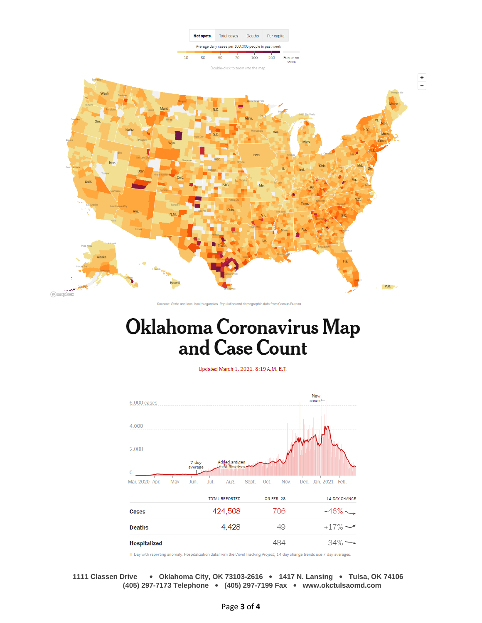

# Oklahoma Coronavirus Map and Case Count

Updated March 1, 2021, 8:19 A.M. E.T.



Day with reporting anomaly. Hospitalization data from the Covid Tracking Project; 14-day change trends use 7-day averages.

**1111 Classen Drive** • **Oklahoma City, OK 73103-2616** • **1417 N. Lansing** • **Tulsa, OK 74106 (405) 297-7173 Telephone** • **(405) 297-7199 Fax** • **www.okctulsaomd.com**